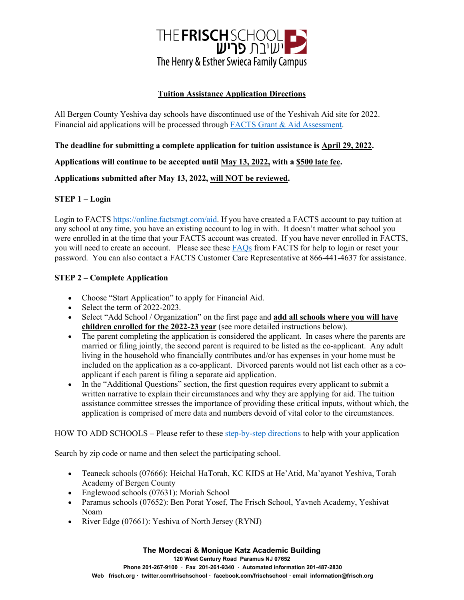

## **Tuition Assistance Application Directions**

All Bergen County Yeshiva day schools have discontinued use of the Yeshivah Aid site for 2022. Financial aid applications will be processed through [FACTS Grant & Aid Assessment.](https://online.factsmgt.com/aid)

**The deadline for submitting a complete application for tuition assistance is April 29, 2022.**

**Applications will continue to be accepted until May 13, 2022, with a \$500 late fee.** 

**Applications submitted after May 13, 2022, will NOT be reviewed.**

## **STEP 1 – Login**

Login to FACTS [https://online.factsmgt.com/aid.](https://online.factsmgt.com/aid) If you have created a FACTS account to pay tuition at any school at any time, you have an existing account to log in with. It doesn't matter what school you were enrolled in at the time that your FACTS account was created. If you have never enrolled in FACTS, you will need to create an account. Please see these [FAQs](https://online.factsmgt.com/platform/customer-service) from FACTS for help to login or reset your password. You can also contact a FACTS Customer Care Representative at 866-441-4637 for assistance.

## **STEP 2 – Complete Application**

- Choose "Start Application" to apply for Financial Aid.
- Select the term of 2022-2023.
- Select "Add School / Organization" on the first page and **add all schools where you will have children enrolled for the 2022-23 year** (see more detailed instructions below).
- The parent completing the application is considered the applicant. In cases where the parents are married or filing jointly, the second parent is required to be listed as the co-applicant. Any adult living in the household who financially contributes and/or has expenses in your home must be included on the application as a co-applicant. Divorced parents would not list each other as a coapplicant if each parent is filing a separate aid application.
- In the "Additional Questions" section, the first question requires every applicant to submit a written narrative to explain their circumstances and why they are applying for aid. The tuition assistance committee stresses the importance of providing these critical inputs, without which, the application is comprised of mere data and numbers devoid of vital color to the circumstances.

HOW TO ADD SCHOOLS – Please refer to these [step-by-step directions](https://www.maayanot.org/wp-content/uploads/2022/02/Application-Instructions-Yeshivas-of-Bergen-County-with-Co-Applicant-Section.pdf) to help with your application

Search by zip code or name and then select the participating school.

- Teaneck schools (07666): Heichal HaTorah, KC KIDS at He'Atid, Ma'ayanot Yeshiva, Torah Academy of Bergen County
- Englewood schools (07631): Moriah School
- Paramus schools (07652): Ben Porat Yosef, The Frisch School, Yavneh Academy, Yeshivat Noam
- River Edge (07661): Yeshiva of North Jersey (RYNJ)